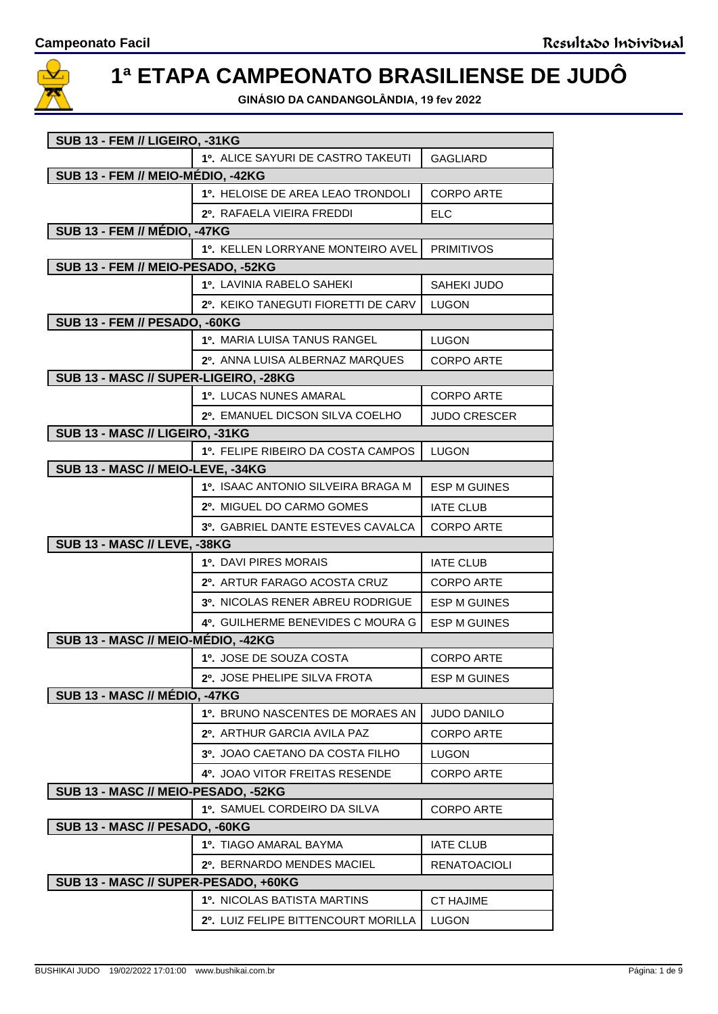

## **1ª ETAPA CAMPEONATO BRASILIENSE DE JUDÔ**

**GINÁSIO DA CANDANGOLÂNDIA, 19 fev 2022**

| SUB 13 - FEM // LIGEIRO, -31KG        |                                                |                     |  |
|---------------------------------------|------------------------------------------------|---------------------|--|
|                                       | 1º. ALICE SAYURI DE CASTRO TAKEUTI             | GAGLIARD            |  |
| SUB 13 - FEM // MEIO-MÉDIO, -42KG     |                                                |                     |  |
|                                       | 1º. HELOISE DE AREA LEAO TRONDOLI              | <b>CORPO ARTE</b>   |  |
|                                       | 2º. RAFAELA VIEIRA FREDDI                      | <b>ELC</b>          |  |
| <b>SUB 13 - FEM // MÉDIO, -47KG</b>   |                                                |                     |  |
|                                       | 1º. KELLEN LORRYANE MONTEIRO AVEL   PRIMITIVOS |                     |  |
| SUB 13 - FEM // MEIO-PESADO, -52KG    |                                                |                     |  |
|                                       | 1º. LAVINIA RABELO SAHEKI                      | SAHEKI JUDO         |  |
|                                       | 2º. KEIKO TANEGUTI FIORETTI DE CARV            | <b>LUGON</b>        |  |
| SUB 13 - FEM // PESADO, -60KG         |                                                |                     |  |
|                                       | <b>1º. MARIA LUISA TANUS RANGEL</b>            | <b>LUGON</b>        |  |
|                                       | 2º. ANNA LUISA ALBERNAZ MARQUES                | <b>CORPO ARTE</b>   |  |
| SUB 13 - MASC // SUPER-LIGEIRO, -28KG |                                                |                     |  |
|                                       | 1º. LUCAS NUNES AMARAL                         | CORPO ARTE          |  |
|                                       | 2º. EMANUEL DICSON SILVA COELHO                | <b>JUDO CRESCER</b> |  |
| SUB 13 - MASC // LIGEIRO, -31KG       |                                                |                     |  |
|                                       | 1º. FELIPE RIBEIRO DA COSTA CAMPOS             | <b>LUGON</b>        |  |
| SUB 13 - MASC // MEIO-LEVE, -34KG     |                                                |                     |  |
|                                       | 1º. ISAAC ANTONIO SILVEIRA BRAGA M             | <b>ESP M GUINES</b> |  |
|                                       | 2º. MIGUEL DO CARMO GOMES                      | <b>IATE CLUB</b>    |  |
|                                       | 3º. GABRIEL DANTE ESTEVES CAVALCA              | <b>CORPO ARTE</b>   |  |
| <b>SUB 13 - MASC // LEVE, -38KG</b>   |                                                |                     |  |
|                                       | <b>1º. DAVI PIRES MORAIS</b>                   | <b>IATE CLUB</b>    |  |
|                                       | 2º. ARTUR FARAGO ACOSTA CRUZ                   | <b>CORPO ARTE</b>   |  |
|                                       | 3º. NICOLAS RENER ABREU RODRIGUE               | <b>ESP M GUINES</b> |  |
|                                       | 4º. GUILHERME BENEVIDES C MOURA G              | <b>ESP M GUINES</b> |  |
| SUB 13 - MASC // MEIO-MÉDIO, -42KG    |                                                |                     |  |
|                                       | 1º. JOSE DE SOUZA COSTA                        | <b>CORPO ARTE</b>   |  |
|                                       | 2º. JOSE PHELIPE SILVA FROTA                   | <b>ESP M GUINES</b> |  |
| <b>SUB 13 - MASC // MÉDIO, -47KG</b>  |                                                |                     |  |
|                                       | 1º. BRUNO NASCENTES DE MORAES AN               | <b>JUDO DANILO</b>  |  |
|                                       | 2º. ARTHUR GARCIA AVILA PAZ                    | <b>CORPO ARTE</b>   |  |
|                                       | <b>3º. JOAO CAETANO DA COSTA FILHO</b>         | LUGON               |  |
|                                       | <b>4º. JOAO VITOR FREITAS RESENDE</b>          | CORPO ARTE          |  |
| SUB 13 - MASC // MEIO-PESADO, -52KG   |                                                |                     |  |
|                                       | 1º. SAMUEL CORDEIRO DA SILVA                   | <b>CORPO ARTE</b>   |  |
| SUB 13 - MASC // PESADO, -60KG        |                                                |                     |  |
|                                       | 1º. TIAGO AMARAL BAYMA                         | <b>IATE CLUB</b>    |  |
|                                       | 2º. BERNARDO MENDES MACIEL                     | <b>RENATOACIOLI</b> |  |
| SUB 13 - MASC // SUPER-PESADO, +60KG  |                                                |                     |  |
|                                       | <b>1º. NICOLAS BATISTA MARTINS</b>             | <b>CT HAJIME</b>    |  |
|                                       |                                                |                     |  |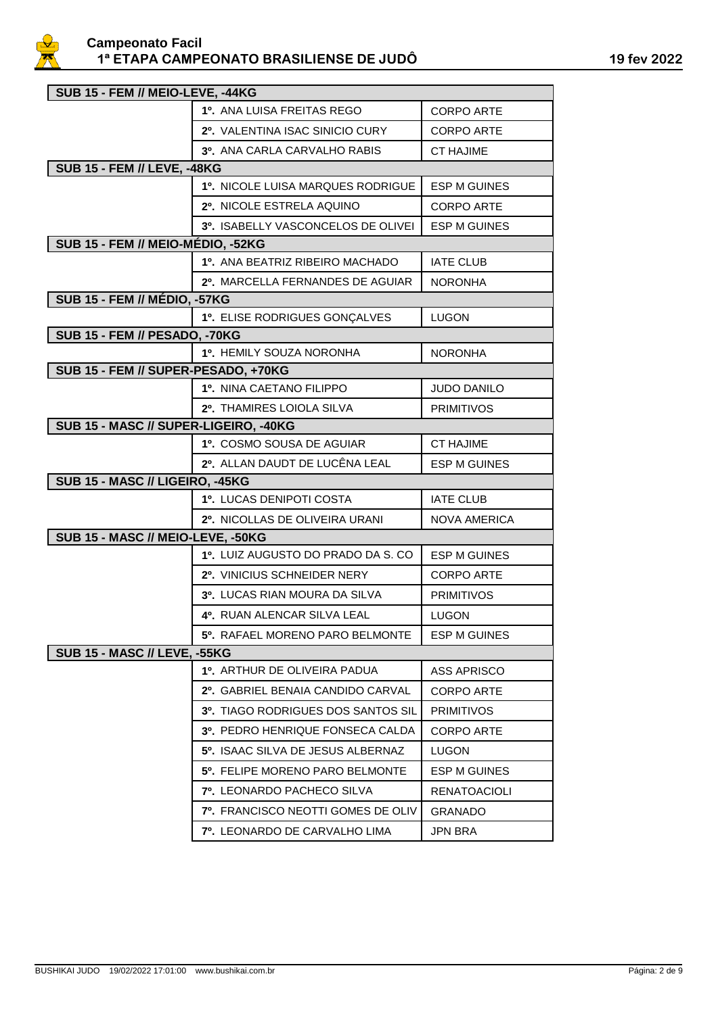

| SUB 15 - FEM // MEIO-LEVE, -44KG      |                                              |                     |  |
|---------------------------------------|----------------------------------------------|---------------------|--|
|                                       | 1º. ANA LUISA FREITAS REGO                   | <b>CORPO ARTE</b>   |  |
|                                       | 2º. VALENTINA ISAC SINICIO CURY              | <b>CORPO ARTE</b>   |  |
|                                       | 3º. ANA CARLA CARVALHO RABIS                 | <b>CT HAJIME</b>    |  |
| <b>SUB 15 - FEM // LEVE, -48KG</b>    |                                              |                     |  |
|                                       | 1º. NICOLE LUISA MARQUES RODRIGUE            | <b>ESP M GUINES</b> |  |
|                                       | 2º. NICOLE ESTRELA AQUINO                    | <b>CORPO ARTE</b>   |  |
|                                       | 3º. ISABELLY VASCONCELOS DE OLIVEI           | <b>ESP M GUINES</b> |  |
| SUB 15 - FEM // MEIO-MÉDIO, -52KG     |                                              |                     |  |
|                                       | 10. ANA BEATRIZ RIBEIRO MACHADO              | <b>IATE CLUB</b>    |  |
|                                       | 2º. MARCELLA FERNANDES DE AGUIAR             | <b>NORONHA</b>      |  |
| <b>SUB 15 - FEM // MÉDIO, -57KG</b>   |                                              |                     |  |
|                                       | 1º. ELISE RODRIGUES GONÇALVES                | <b>LUGON</b>        |  |
| SUB 15 - FEM // PESADO, -70KG         |                                              |                     |  |
|                                       | 1º. HEMILY SOUZA NORONHA                     | <b>NORONHA</b>      |  |
| SUB 15 - FEM // SUPER-PESADO, +70KG   |                                              |                     |  |
|                                       | 1º. NINA CAETANO FILIPPO                     | <b>JUDO DANILO</b>  |  |
|                                       | 2º. THAMIRES LOIOLA SILVA                    | <b>PRIMITIVOS</b>   |  |
| SUB 15 - MASC // SUPER-LIGEIRO, -40KG |                                              |                     |  |
|                                       | 1º. COSMO SOUSA DE AGUIAR                    | <b>CT HAJIME</b>    |  |
|                                       | 2º. ALLAN DAUDT DE LUCÊNA LEAL               | <b>ESP M GUINES</b> |  |
| SUB 15 - MASC // LIGEIRO, -45KG       |                                              |                     |  |
|                                       | 1º. LUCAS DENIPOTI COSTA                     | <b>IATE CLUB</b>    |  |
|                                       | 2º. NICOLLAS DE OLIVEIRA URANI               | <b>NOVA AMERICA</b> |  |
| SUB 15 - MASC // MEIO-LEVE, -50KG     |                                              |                     |  |
|                                       | 1º. LUIZ AUGUSTO DO PRADO DA S. CO           | <b>ESP M GUINES</b> |  |
|                                       | 2º. VINICIUS SCHNEIDER NERY                  | <b>CORPO ARTE</b>   |  |
|                                       | 3º. LUCAS RIAN MOURA DA SILVA                | <b>PRIMITIVOS</b>   |  |
|                                       | 4º. RUAN ALENCAR SILVA LEAL                  | <b>LUGON</b>        |  |
|                                       | 5º. RAFAEL MORENO PARO BELMONTE              | <b>ESP M GUINES</b> |  |
| <b>SUB 15 - MASC // LEVE, -55KG</b>   |                                              |                     |  |
|                                       | 1º. ARTHUR DE OLIVEIRA PADUA                 | <b>ASS APRISCO</b>  |  |
|                                       | 2º. GABRIEL BENAIA CANDIDO CARVAL            | <b>CORPO ARTE</b>   |  |
|                                       | 3º. TIAGO RODRIGUES DOS SANTOS SIL           | <b>PRIMITIVOS</b>   |  |
|                                       | <b>3º. PEDRO HENRIQUE FONSECA CALDA</b>      | CORPO ARTE          |  |
|                                       | 5º, ISAAC SILVA DE JESUS ALBERNAZ            | LUGON               |  |
|                                       | 5 <sup>0</sup> . FELIPE MORENO PARO BELMONTE | ESP M GUINES        |  |
|                                       | 7º. LEONARDO PACHECO SILVA                   | <b>RENATOACIOLI</b> |  |
|                                       | <b>7º. FRANCISCO NEOTTI GOMES DE OLIV</b>    | <b>GRANADO</b>      |  |
|                                       | <b>7º. LEONARDO DE CARVALHO LIMA</b>         | JPN BRA             |  |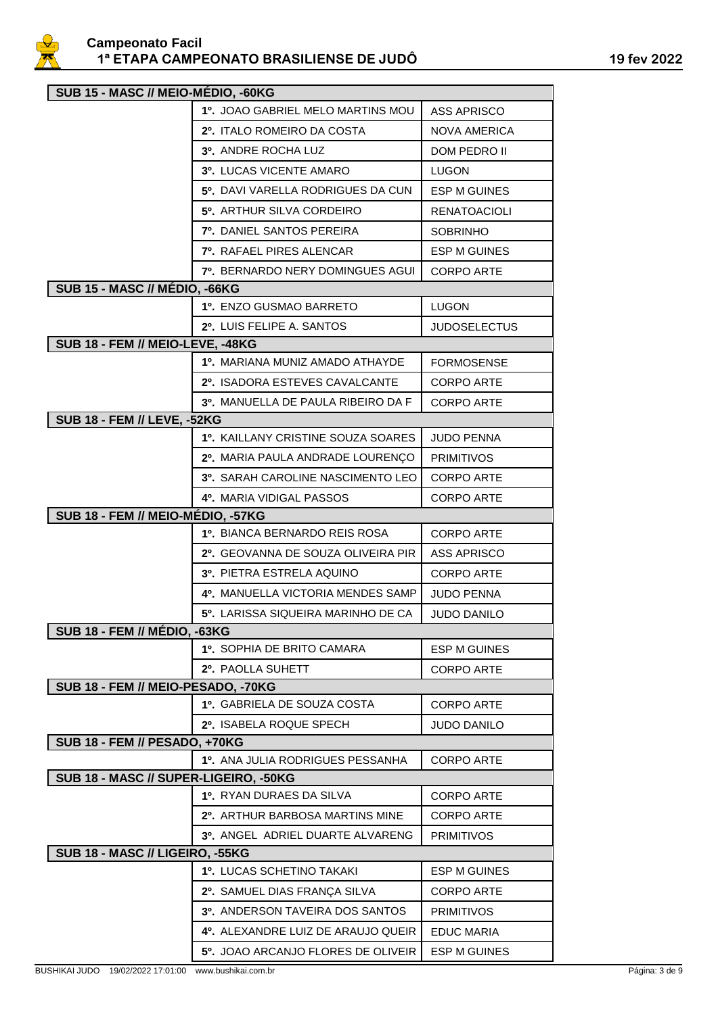

| SUB 15 - MASC // MEIO-MÉDIO, -60KG    |                                         |                     |  |
|---------------------------------------|-----------------------------------------|---------------------|--|
|                                       | 1º. JOAO GABRIEL MELO MARTINS MOU       | <b>ASS APRISCO</b>  |  |
|                                       | 2º. ITALO ROMEIRO DA COSTA              | <b>NOVA AMERICA</b> |  |
|                                       | 3º. ANDRE ROCHA LUZ                     | DOM PEDRO II        |  |
|                                       | 3º. LUCAS VICENTE AMARO                 | <b>LUGON</b>        |  |
|                                       | 5º. DAVI VARELLA RODRIGUES DA CUN       | <b>ESP M GUINES</b> |  |
|                                       | 5º. ARTHUR SILVA CORDEIRO               | <b>RENATOACIOLI</b> |  |
|                                       | 7º. DANIEL SANTOS PEREIRA               | <b>SOBRINHO</b>     |  |
|                                       | 7º. RAFAEL PIRES ALENCAR                | <b>ESP M GUINES</b> |  |
|                                       | <b>7º. BERNARDO NERY DOMINGUES AGUI</b> | <b>CORPO ARTE</b>   |  |
| SUB 15 - MASC // MÉDIO, -66KG         |                                         |                     |  |
|                                       | 1º, ENZO GUSMAO BARRETO                 | <b>LUGON</b>        |  |
|                                       | 2º. LUIS FELIPE A. SANTOS               | <b>JUDOSELECTUS</b> |  |
| SUB 18 - FEM // MEIO-LEVE, -48KG      |                                         |                     |  |
|                                       | 1º. MARIANA MUNIZ AMADO ATHAYDE         | <b>FORMOSENSE</b>   |  |
|                                       | 2º. ISADORA ESTEVES CAVALCANTE          | <b>CORPO ARTE</b>   |  |
|                                       | 3º. MANUELLA DE PAULA RIBEIRO DA F      | <b>CORPO ARTE</b>   |  |
| <b>SUB 18 - FEM // LEVE, -52KG</b>    |                                         |                     |  |
|                                       | 1º. KAILLANY CRISTINE SOUZA SOARES      | <b>JUDO PENNA</b>   |  |
|                                       | 2º. MARIA PAULA ANDRADE LOURENÇO        | <b>PRIMITIVOS</b>   |  |
|                                       | 3º. SARAH CAROLINE NASCIMENTO LEO       | <b>CORPO ARTE</b>   |  |
|                                       | 4º. MARIA VIDIGAL PASSOS                | <b>CORPO ARTE</b>   |  |
| SUB 18 - FEM // MEIO-MÉDIO, -57KG     |                                         |                     |  |
|                                       | 1º. BIANCA BERNARDO REIS ROSA           | <b>CORPO ARTE</b>   |  |
|                                       | 2º. GEOVANNA DE SOUZA OLIVEIRA PIR      | <b>ASS APRISCO</b>  |  |
|                                       | 3º. PIETRA ESTRELA AQUINO               | <b>CORPO ARTE</b>   |  |
|                                       | 4º. MANUELLA VICTORIA MENDES SAMP       | <b>JUDO PENNA</b>   |  |
|                                       | 5º. LARISSA SIQUEIRA MARINHO DE CA      | <b>JUDO DANILO</b>  |  |
| <b>SUB 18 - FEM // MÉDIO, -63KG</b>   |                                         |                     |  |
|                                       | 1º. SOPHIA DE BRITO CAMARA              | <b>ESP M GUINES</b> |  |
|                                       | 2º. PAOLLA SUHETT                       | <b>CORPO ARTE</b>   |  |
| SUB 18 - FEM // MEIO-PESADO, -70KG    |                                         |                     |  |
|                                       | 1º. GABRIELA DE SOUZA COSTA             | <b>CORPO ARTE</b>   |  |
| <b>SUB 18 - FEM // PESADO, +70KG</b>  | 2º. ISABELA ROQUE SPECH                 | <b>JUDO DANILO</b>  |  |
|                                       | 1º. ANA JULIA RODRIGUES PESSANHA        | <b>CORPO ARTE</b>   |  |
| SUB 18 - MASC // SUPER-LIGEIRO, -50KG |                                         |                     |  |
|                                       | 1º, RYAN DURAES DA SILVA                | <b>CORPO ARTE</b>   |  |
|                                       | 2º. ARTHUR BARBOSA MARTINS MINE         | <b>CORPO ARTE</b>   |  |
|                                       | 3º. ANGEL ADRIEL DUARTE ALVARENG        | <b>PRIMITIVOS</b>   |  |
| SUB 18 - MASC // LIGEIRO, -55KG       |                                         |                     |  |
|                                       | 1º. LUCAS SCHETINO TAKAKI               | ESP M GUINES        |  |
|                                       | 2º. SAMUEL DIAS FRANÇA SILVA            | <b>CORPO ARTE</b>   |  |
|                                       | 3º. ANDERSON TAVEIRA DOS SANTOS         | <b>PRIMITIVOS</b>   |  |
|                                       | 4º. ALEXANDRE LUIZ DE ARAUJO QUEIR      | <b>EDUC MARIA</b>   |  |
|                                       | 5º. JOAO ARCANJO FLORES DE OLIVEIR      | ESP M GUINES        |  |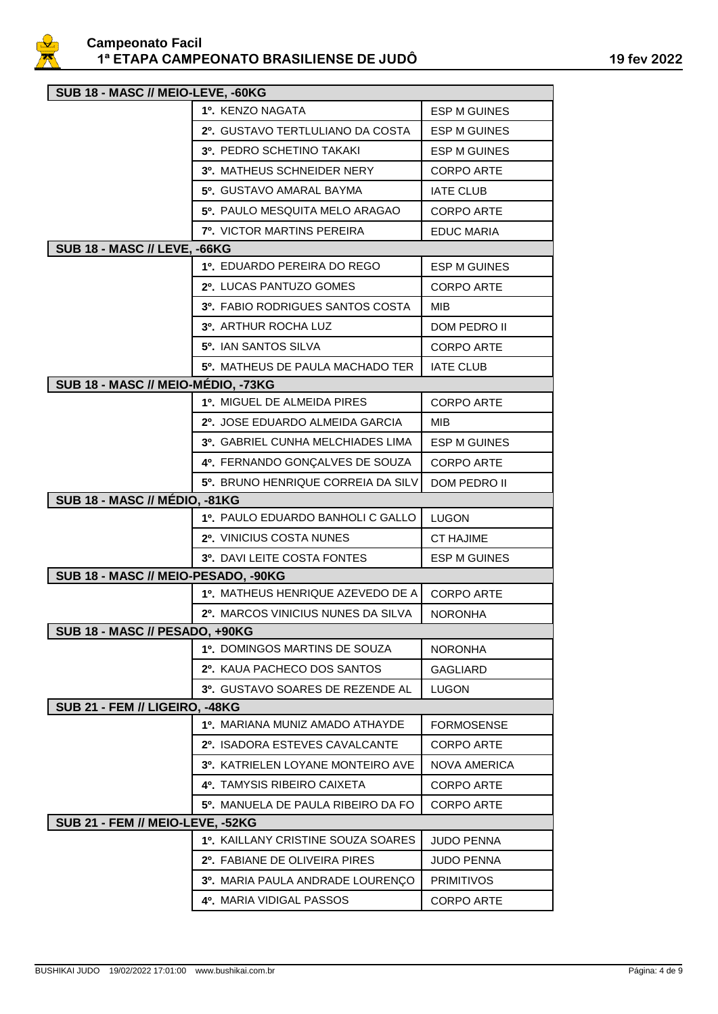

| SUB 18 - MASC // MEIO-LEVE, -60KG       |                                         |                     |  |
|-----------------------------------------|-----------------------------------------|---------------------|--|
|                                         | 1º. KENZO NAGATA                        | <b>ESP M GUINES</b> |  |
|                                         | 2º. GUSTAVO TERTLULIANO DA COSTA        | <b>ESP M GUINES</b> |  |
|                                         | 3º, PEDRO SCHETINO TAKAKI               | <b>ESP M GUINES</b> |  |
|                                         | 3º. MATHEUS SCHNEIDER NERY              | <b>CORPO ARTE</b>   |  |
|                                         | 5º. GUSTAVO AMARAL BAYMA                | <b>IATE CLUB</b>    |  |
|                                         | 5º. PAULO MESQUITA MELO ARAGAO          | <b>CORPO ARTE</b>   |  |
|                                         | 7º. VICTOR MARTINS PEREIRA              | <b>EDUC MARIA</b>   |  |
| <b>SUB 18 - MASC // LEVE, -66KG</b>     |                                         |                     |  |
|                                         | 1º. EDUARDO PEREIRA DO REGO             | ESP M GUINES        |  |
|                                         | 2º. LUCAS PANTUZO GOMES                 | <b>CORPO ARTE</b>   |  |
|                                         | 3º, FABIO RODRIGUES SANTOS COSTA        | MIB                 |  |
|                                         | 3º. ARTHUR ROCHA LUZ                    | DOM PEDRO II        |  |
|                                         | 5º. IAN SANTOS SILVA                    | <b>CORPO ARTE</b>   |  |
|                                         | 5º. MATHEUS DE PAULA MACHADO TER        | <b>IATE CLUB</b>    |  |
| SUB 18 - MASC // MEIO-MÉDIO, -73KG      |                                         |                     |  |
|                                         | 1º. MIGUEL DE ALMEIDA PIRES             | <b>CORPO ARTE</b>   |  |
|                                         | 2º. JOSE EDUARDO ALMEIDA GARCIA         | MIB                 |  |
|                                         | 3º. GABRIEL CUNHA MELCHIADES LIMA       | <b>ESP M GUINES</b> |  |
|                                         | 4º. FERNANDO GONÇALVES DE SOUZA         | <b>CORPO ARTE</b>   |  |
|                                         | 5º. BRUNO HENRIQUE CORREIA DA SILV      | DOM PEDRO II        |  |
| SUB 18 - MASC // MÉDIO, -81KG           |                                         |                     |  |
|                                         | 1º. PAULO EDUARDO BANHOLI C GALLO       | <b>LUGON</b>        |  |
|                                         | 2º. VINICIUS COSTA NUNES                | <b>CT HAJIME</b>    |  |
|                                         | 3º. DAVI LEITE COSTA FONTES             | <b>ESP M GUINES</b> |  |
| SUB 18 - MASC // MEIO-PESADO, -90KG     |                                         |                     |  |
|                                         | 1º. MATHEUS HENRIQUE AZEVEDO DE A       | <b>CORPO ARTE</b>   |  |
|                                         | 2º. MARCOS VINICIUS NUNES DA SILVA      | <b>NORONHA</b>      |  |
| SUB 18 - MASC // PESADO, +90KG          |                                         |                     |  |
|                                         | 1º. DOMINGOS MARTINS DE SOUZA           | <b>NORONHA</b>      |  |
|                                         | 2º. KAUA PACHECO DOS SANTOS             | <b>GAGLIARD</b>     |  |
| SUB 21 - FEM // LIGEIRO, -48KG          | 3º. GUSTAVO SOARES DE REZENDE AL        | <b>LUGON</b>        |  |
|                                         | 1º. MARIANA MUNIZ AMADO ATHAYDE         | <b>FORMOSENSE</b>   |  |
|                                         | 2º. ISADORA ESTEVES CAVALCANTE          | <b>CORPO ARTE</b>   |  |
|                                         | 3º. KATRIELEN LOYANE MONTEIRO AVE       | <b>NOVA AMERICA</b> |  |
|                                         | 4º. TAMYSIS RIBEIRO CAIXETA             | <b>CORPO ARTE</b>   |  |
|                                         | 5º. MANUELA DE PAULA RIBEIRO DA FO      | <b>CORPO ARTE</b>   |  |
| <b>SUB 21 - FEM // MEIO-LEVE, -52KG</b> |                                         |                     |  |
|                                         | 1º, KAILLANY CRISTINE SOUZA SOARES      | JUDO PENNA          |  |
|                                         | 2º. FABIANE DE OLIVEIRA PIRES           | <b>JUDO PENNA</b>   |  |
|                                         | <b>3º. MARIA PAULA ANDRADE LOURENÇO</b> | <b>PRIMITIVOS</b>   |  |
|                                         | 4º. MARIA VIDIGAL PASSOS                | <b>CORPO ARTE</b>   |  |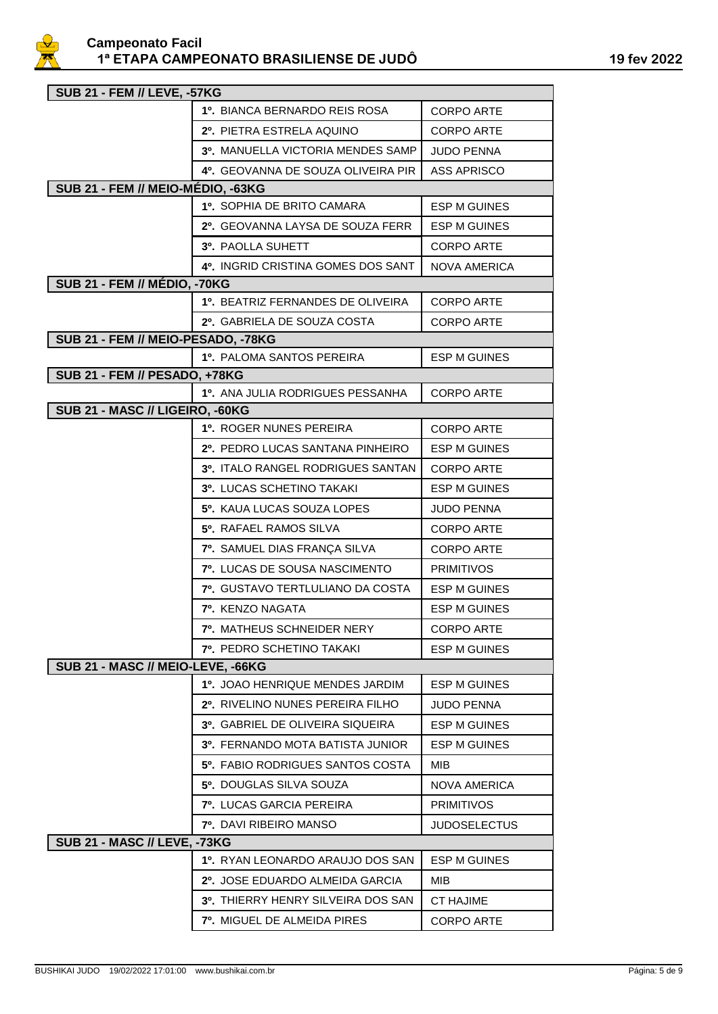

| <b>SUB 21 - FEM // LEVE, -57KG</b>   |                                    |                     |  |
|--------------------------------------|------------------------------------|---------------------|--|
|                                      | 1º. BIANCA BERNARDO REIS ROSA      | <b>CORPO ARTE</b>   |  |
|                                      | 2º. PIETRA ESTRELA AQUINO          | <b>CORPO ARTE</b>   |  |
|                                      | 3º. MANUELLA VICTORIA MENDES SAMP  | <b>JUDO PENNA</b>   |  |
|                                      | 4º. GEOVANNA DE SOUZA OLIVEIRA PIR | <b>ASS APRISCO</b>  |  |
| SUB 21 - FEM // MEIO-MÉDIO, -63KG    |                                    |                     |  |
|                                      | 1º. SOPHIA DE BRITO CAMARA         | <b>ESP M GUINES</b> |  |
|                                      | 2º. GEOVANNA LAYSA DE SOUZA FERR   | <b>ESP M GUINES</b> |  |
|                                      | 3º. PAOLLA SUHETT                  | <b>CORPO ARTE</b>   |  |
|                                      | 4º. INGRID CRISTINA GOMES DOS SANT | <b>NOVA AMERICA</b> |  |
| <b>SUB 21 - FEM // MÉDIO, -70KG</b>  |                                    |                     |  |
|                                      | 1º. BEATRIZ FERNANDES DE OLIVEIRA  | <b>CORPO ARTE</b>   |  |
|                                      | 2º. GABRIELA DE SOUZA COSTA        | <b>CORPO ARTE</b>   |  |
| SUB 21 - FEM // MEIO-PESADO, -78KG   |                                    |                     |  |
|                                      | 1º. PALOMA SANTOS PEREIRA          | <b>ESP M GUINES</b> |  |
| <b>SUB 21 - FEM // PESADO, +78KG</b> |                                    |                     |  |
|                                      | 1º. ANA JULIA RODRIGUES PESSANHA   | <b>CORPO ARTE</b>   |  |
| SUB 21 - MASC // LIGEIRO, -60KG      |                                    |                     |  |
|                                      | 1º. ROGER NUNES PEREIRA            | CORPO ARTE          |  |
|                                      | 2º. PEDRO LUCAS SANTANA PINHEIRO   | <b>ESP M GUINES</b> |  |
|                                      | 3º. ITALO RANGEL RODRIGUES SANTAN  | <b>CORPO ARTE</b>   |  |
|                                      | 3º. LUCAS SCHETINO TAKAKI          | <b>ESP M GUINES</b> |  |
|                                      | 5º. KAUA LUCAS SOUZA LOPES         | <b>JUDO PENNA</b>   |  |
|                                      | 5º. RAFAEL RAMOS SILVA             | <b>CORPO ARTE</b>   |  |
|                                      | 7º. SAMUEL DIAS FRANÇA SILVA       | <b>CORPO ARTE</b>   |  |
|                                      | 7º. LUCAS DE SOUSA NASCIMENTO      | <b>PRIMITIVOS</b>   |  |
|                                      | 7º. GUSTAVO TERTLULIANO DA COSTA   | <b>ESP M GUINES</b> |  |
|                                      | 7º. KENZO NAGATA                   | <b>ESP M GUINES</b> |  |
|                                      | 7º. MATHEUS SCHNEIDER NERY         | <b>CORPO ARTE</b>   |  |
|                                      | 7º. PEDRO SCHETINO TAKAKI          | <b>ESP M GUINES</b> |  |
| SUB 21 - MASC // MEIO-LEVE, -66KG    |                                    |                     |  |
|                                      | 1º. JOAO HENRIQUE MENDES JARDIM    | <b>ESP M GUINES</b> |  |
|                                      | 2º. RIVELINO NUNES PEREIRA FILHO   | <b>JUDO PENNA</b>   |  |
|                                      | 3º. GABRIEL DE OLIVEIRA SIQUEIRA   | <b>ESP M GUINES</b> |  |
|                                      | 3º. FERNANDO MOTA BATISTA JUNIOR   | ESP M GUINES        |  |
|                                      | 5º, FABIO RODRIGUES SANTOS COSTA   | MIB                 |  |
|                                      | 5º. DOUGLAS SILVA SOUZA            | NOVA AMERICA        |  |
|                                      | 7º. LUCAS GARCIA PEREIRA           | <b>PRIMITIVOS</b>   |  |
|                                      | <b>7º.</b> DAVI RIBEIRO MANSO      | <b>JUDOSELECTUS</b> |  |
| <b>SUB 21 - MASC // LEVE, -73KG</b>  |                                    |                     |  |
|                                      | 1º. RYAN LEONARDO ARAUJO DOS SAN   | ESP M GUINES        |  |
|                                      | 2º. JOSE EDUARDO ALMEIDA GARCIA    | MIB                 |  |
|                                      | 3º. THIERRY HENRY SILVEIRA DOS SAN | <b>CT HAJIME</b>    |  |
|                                      | 7º. MIGUEL DE ALMEIDA PIRES        | <b>CORPO ARTE</b>   |  |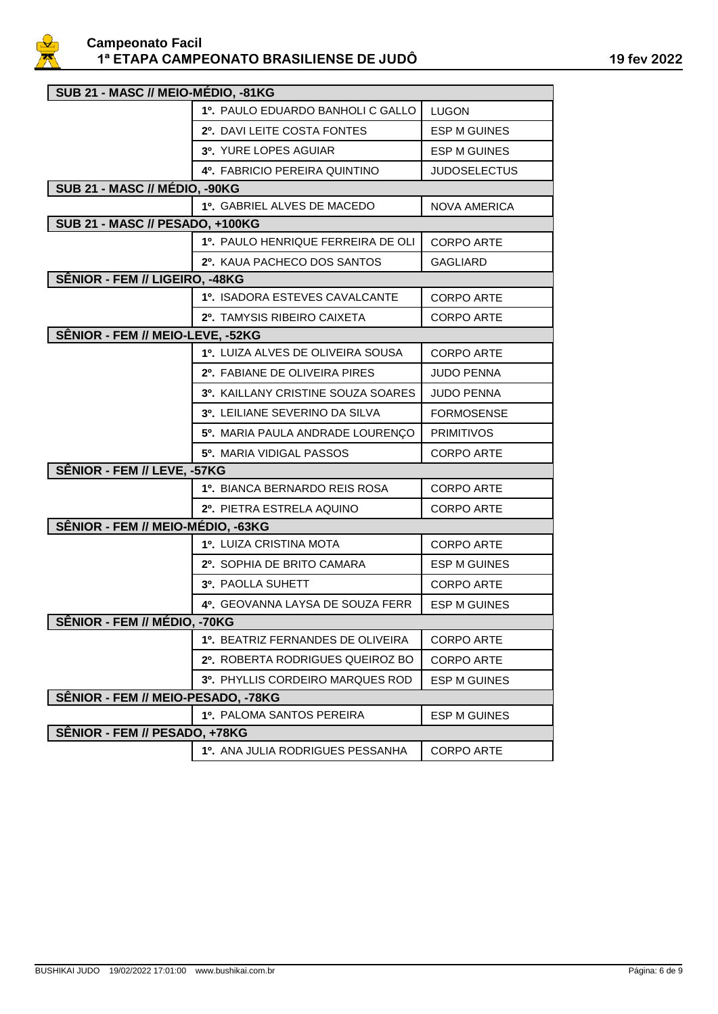

| SUB 21 - MASC // MEIO-MÉDIO, -81KG |                                    |                     |
|------------------------------------|------------------------------------|---------------------|
|                                    | 1º. PAULO EDUARDO BANHOLI C GALLO  | LUGON               |
|                                    | 2º. DAVI LEITE COSTA FONTES        | <b>ESP M GUINES</b> |
|                                    | 3º. YURE LOPES AGUIAR              | <b>ESP M GUINES</b> |
|                                    | 4º. FABRICIO PEREIRA QUINTINO      | <b>JUDOSELECTUS</b> |
| SUB 21 - MASC // MÉDIO, -90KG      |                                    |                     |
|                                    | 1º. GABRIEL ALVES DE MACEDO        | <b>NOVA AMERICA</b> |
| SUB 21 - MASC // PESADO, +100KG    |                                    |                     |
|                                    | 1º. PAULO HENRIQUE FERREIRA DE OLI | <b>CORPO ARTE</b>   |
|                                    | 2º. KAUA PACHECO DOS SANTOS        | GAGLIARD            |
| SÊNIOR - FEM // LIGEIRO, -48KG     |                                    |                     |
|                                    | 1º. ISADORA ESTEVES CAVALCANTE     | <b>CORPO ARTE</b>   |
|                                    | 2º. TAMYSIS RIBEIRO CAIXETA        | <b>CORPO ARTE</b>   |
| SÊNIOR - FEM // MEIO-LEVE, -52KG   |                                    |                     |
|                                    | 1º. LUIZA ALVES DE OLIVEIRA SOUSA  | <b>CORPO ARTE</b>   |
|                                    | 2º. FABIANE DE OLIVEIRA PIRES      | <b>JUDO PENNA</b>   |
|                                    | 3º. KAILLANY CRISTINE SOUZA SOARES | <b>JUDO PENNA</b>   |
|                                    | 3º. LEILIANE SEVERINO DA SILVA     | <b>FORMOSENSE</b>   |
|                                    | 5º. MARIA PAULA ANDRADE LOURENÇO   | <b>PRIMITIVOS</b>   |
|                                    | 5º. MARIA VIDIGAL PASSOS           | <b>CORPO ARTE</b>   |
| SÊNIOR - FEM // LEVE, -57KG        |                                    |                     |
|                                    | 1º. BIANCA BERNARDO REIS ROSA      | <b>CORPO ARTE</b>   |
|                                    | 2º. PIETRA ESTRELA AQUINO          | <b>CORPO ARTE</b>   |
| SÊNIOR - FEM // MEIO-MÉDIO, -63KG  |                                    |                     |
|                                    | 1º. LUIZA CRISTINA MOTA            | <b>CORPO ARTE</b>   |
|                                    | 2º. SOPHIA DE BRITO CAMARA         | ESP M GUINES        |
|                                    | 3º. PAOLLA SUHETT                  | <b>CORPO ARTE</b>   |
|                                    | 4º. GEOVANNA LAYSA DE SOUZA FERR   | <b>ESP M GUINES</b> |
| SÊNIOR - FEM // MÉDIO. - 70KG      |                                    |                     |
|                                    | 1º. BEATRIZ FERNANDES DE OLIVEIRA  | <b>CORPO ARTE</b>   |
|                                    | 2º. ROBERTA RODRIGUES QUEIROZ BO   | <b>CORPO ARTE</b>   |
|                                    | 3º. PHYLLIS CORDEIRO MARQUES ROD   | <b>ESP M GUINES</b> |
| SÊNIOR - FEM // MEIO-PESADO, -78KG |                                    |                     |
|                                    | 1º. PALOMA SANTOS PEREIRA          | <b>ESP M GUINES</b> |
| SÊNIOR - FEM // PESADO, +78KG      |                                    |                     |
|                                    | 1º. ANA JULIA RODRIGUES PESSANHA   | <b>CORPO ARTE</b>   |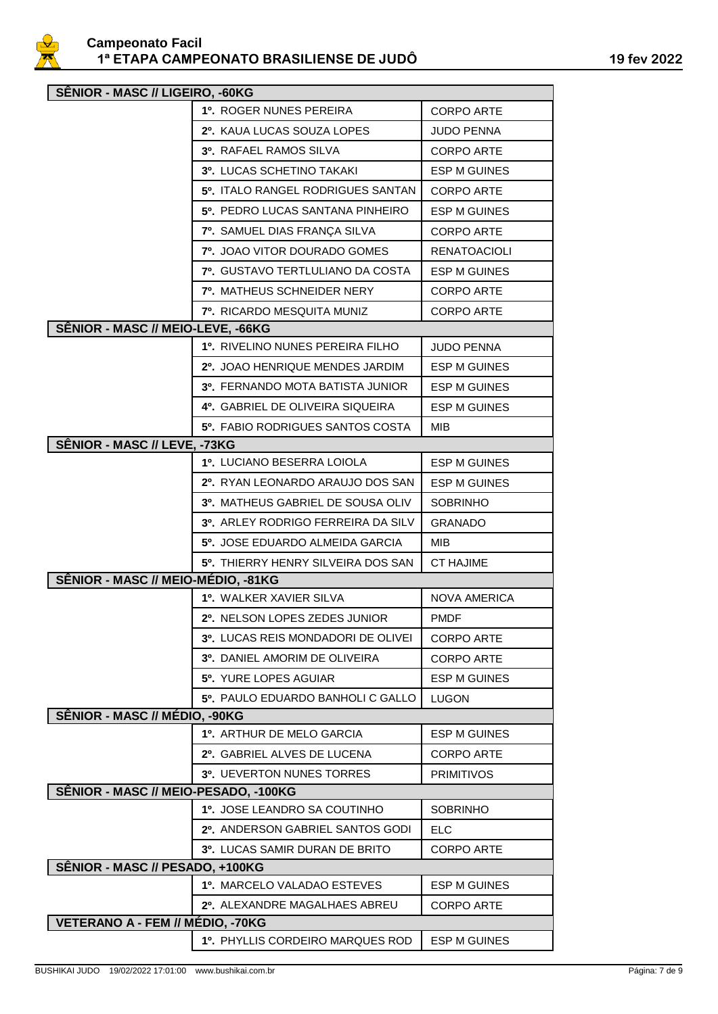

| SÊNIOR - MASC // LIGEIRO, -60KG      |                                         |                     |  |
|--------------------------------------|-----------------------------------------|---------------------|--|
|                                      | 1º. ROGER NUNES PEREIRA                 | <b>CORPO ARTE</b>   |  |
|                                      | 2º. KAUA LUCAS SOUZA LOPES              | JUDO PENNA          |  |
|                                      | 3º. RAFAEL RAMOS SILVA                  | <b>CORPO ARTE</b>   |  |
|                                      | 3º. LUCAS SCHETINO TAKAKI               | <b>ESP M GUINES</b> |  |
|                                      | 5º. ITALO RANGEL RODRIGUES SANTAN       | CORPO ARTE          |  |
|                                      | 5º. PEDRO LUCAS SANTANA PINHEIRO        | ESP M GUINES        |  |
|                                      | 7º. SAMUEL DIAS FRANÇA SILVA            | <b>CORPO ARTE</b>   |  |
|                                      | 7º. JOAO VITOR DOURADO GOMES            | <b>RENATOACIOLI</b> |  |
|                                      | <b>7º. GUSTAVO TERTLULIANO DA COSTA</b> | <b>ESP M GUINES</b> |  |
|                                      | <b>7º. MATHEUS SCHNEIDER NERY</b>       | <b>CORPO ARTE</b>   |  |
|                                      | <b>7º.</b> RICARDO MESQUITA MUNIZ       | <b>CORPO ARTE</b>   |  |
| SÊNIOR - MASC // MEIO-LEVE, -66KG    |                                         |                     |  |
|                                      | 1º. RIVELINO NUNES PEREIRA FILHO        | <b>JUDO PENNA</b>   |  |
|                                      | 2º. JOAO HENRIQUE MENDES JARDIM         | ESP M GUINES        |  |
|                                      | 3º. FERNANDO MOTA BATISTA JUNIOR        | <b>ESP M GUINES</b> |  |
|                                      | 4º. GABRIEL DE OLIVEIRA SIQUEIRA        | ESP M GUINES        |  |
|                                      | <b>5º.</b> FABIO RODRIGUES SANTOS COSTA | MIB                 |  |
| SÊNIOR - MASC // LEVE, -73KG         |                                         |                     |  |
|                                      | 1º. LUCIANO BESERRA LOIOLA              | <b>ESP M GUINES</b> |  |
|                                      | 2º. RYAN LEONARDO ARAUJO DOS SAN        | <b>ESP M GUINES</b> |  |
|                                      | 3º. MATHEUS GABRIEL DE SOUSA OLIV       | <b>SOBRINHO</b>     |  |
|                                      | 3º. ARLEY RODRIGO FERREIRA DA SILV      | <b>GRANADO</b>      |  |
|                                      | 5º. JOSE EDUARDO ALMEIDA GARCIA         | MIB                 |  |
|                                      | 5º. THIERRY HENRY SILVEIRA DOS SAN      | <b>CT HAJIME</b>    |  |
| SÊNIOR - MASC // MEIO-MÉDIO, -81KG   |                                         |                     |  |
|                                      | <b>1º. WALKER XAVIER SILVA</b>          | <b>NOVA AMERICA</b> |  |
|                                      | 2º. NELSON LOPES ZEDES JUNIOR           | <b>PMDF</b>         |  |
|                                      | 3º. LUCAS REIS MONDADORI DE OLIVEI      | <b>CORPO ARTE</b>   |  |
|                                      | 3º. DANIEL AMORIM DE OLIVEIRA           | <b>CORPO ARTE</b>   |  |
|                                      | <b>5º. YURE LOPES AGUIAR</b>            | <b>ESP M GUINES</b> |  |
|                                      | 5º. PAULO EDUARDO BANHOLI C GALLO       | <b>LUGON</b>        |  |
| SÊNIOR - MASC // MÉDIO, -90KG        |                                         |                     |  |
|                                      | 1º. ARTHUR DE MELO GARCIA               | <b>ESP M GUINES</b> |  |
|                                      | 2º. GABRIEL ALVES DE LUCENA             | <b>CORPO ARTE</b>   |  |
|                                      | <b>3º. UEVERTON NUNES TORRES</b>        | <b>PRIMITIVOS</b>   |  |
| SÊNIOR - MASC // MEIO-PESADO, -100KG |                                         |                     |  |
|                                      | 1º. JOSE LEANDRO SA COUTINHO            | <b>SOBRINHO</b>     |  |
|                                      | 2º. ANDERSON GABRIEL SANTOS GODI        | <b>ELC</b>          |  |
|                                      | 3º. LUCAS SAMIR DURAN DE BRITO          | <b>CORPO ARTE</b>   |  |
| SÊNIOR - MASC // PESADO, +100KG      |                                         |                     |  |
|                                      | 1º, MARCELO VALADAO ESTEVES             | <b>ESP M GUINES</b> |  |
|                                      | 2º. ALEXANDRE MAGALHAES ABREU           | <b>CORPO ARTE</b>   |  |
| VETERANO A - FEM // MÉDIO, -70KG     |                                         |                     |  |
|                                      | 1º, PHYLLIS CORDEIRO MARQUES ROD        | <b>ESP M GUINES</b> |  |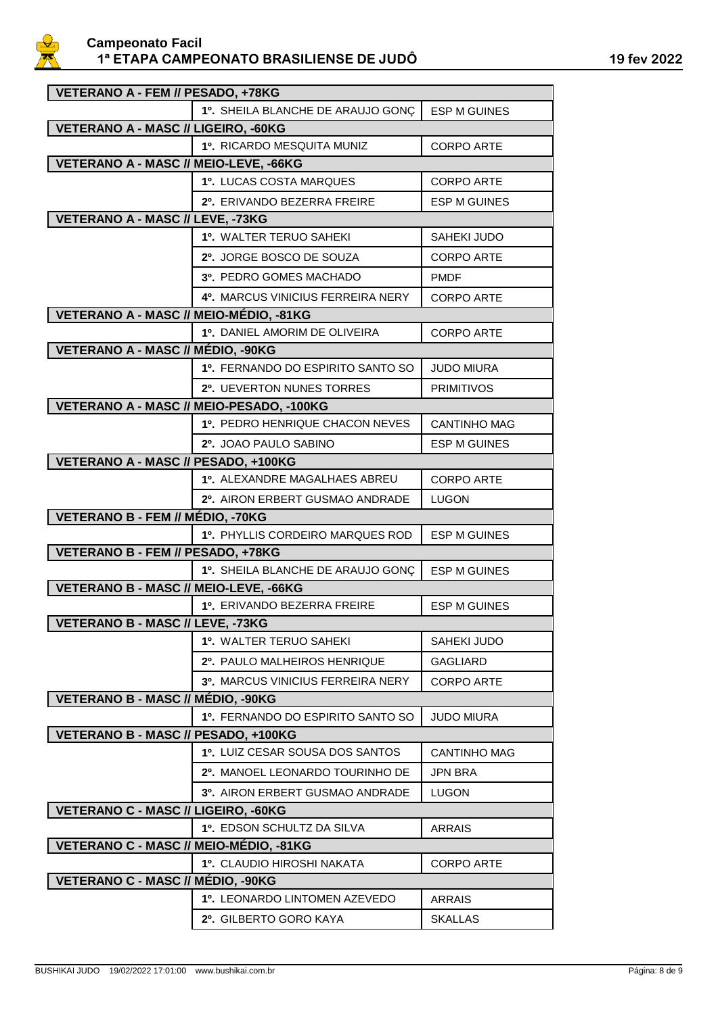

| VETERANO A - FEM // PESADO, +78KG          |                                          |                     |  |
|--------------------------------------------|------------------------------------------|---------------------|--|
|                                            | 1º. SHEILA BLANCHE DE ARAUJO GONÇ        | <b>ESP M GUINES</b> |  |
| VETERANO A - MASC // LIGEIRO, -60KG        |                                          |                     |  |
|                                            | 1º. RICARDO MESQUITA MUNIZ               | CORPO ARTE          |  |
| VETERANO A - MASC // MEIO-LEVE, -66KG      |                                          |                     |  |
|                                            | 1º. LUCAS COSTA MARQUES                  | <b>CORPO ARTE</b>   |  |
|                                            | 2º. ERIVANDO BEZERRA FREIRE              | ESP M GUINES        |  |
| VETERANO A - MASC // LEVE, -73KG           |                                          |                     |  |
|                                            | 1º. WALTER TERUO SAHEKI                  | SAHEKI JUDO         |  |
|                                            | 2º. JORGE BOSCO DE SOUZA                 | <b>CORPO ARTE</b>   |  |
|                                            | 3º. PEDRO GOMES MACHADO                  | <b>PMDF</b>         |  |
|                                            | 4º. MARCUS VINICIUS FERREIRA NERY        | <b>CORPO ARTE</b>   |  |
| VETERANO A - MASC // MEIO-MÉDIO, -81KG     |                                          |                     |  |
|                                            | <b>1º. DANIEL AMORIM DE OLIVEIRA</b>     | <b>CORPO ARTE</b>   |  |
| VETERANO A - MASC // MÉDIO, -90KG          |                                          |                     |  |
|                                            | 1º. FERNANDO DO ESPIRITO SANTO SO        | <b>JUDO MIURA</b>   |  |
|                                            | 2º. UEVERTON NUNES TORRES                | <b>PRIMITIVOS</b>   |  |
| VETERANO A - MASC // MEIO-PESADO, -100KG   |                                          |                     |  |
|                                            | 1º. PEDRO HENRIQUE CHACON NEVES          | <b>CANTINHO MAG</b> |  |
|                                            | 2º. JOAO PAULO SABINO                    | <b>ESP M GUINES</b> |  |
| VETERANO A - MASC // PESADO, +100KG        |                                          |                     |  |
|                                            | 1º. ALEXANDRE MAGALHAES ABREU            | <b>CORPO ARTE</b>   |  |
|                                            | 2º. AIRON ERBERT GUSMAO ANDRADE          | <b>LUGON</b>        |  |
| VETERANO B - FEM // MÉDIO, -70KG           |                                          |                     |  |
|                                            | 1º. PHYLLIS CORDEIRO MARQUES ROD         | <b>ESP M GUINES</b> |  |
| VETERANO B - FEM // PESADO, +78KG          |                                          |                     |  |
|                                            | 1º. SHEILA BLANCHE DE ARAUJO GONÇ        | <b>ESP M GUINES</b> |  |
| VETERANO B - MASC // MEIO-LEVE, -66KG      |                                          |                     |  |
|                                            | 1º. ERIVANDO BEZERRA FREIRE              | <b>ESP M GUINES</b> |  |
| VETERANO B - MASC // LEVE, -73KG           |                                          |                     |  |
|                                            | 1º. WALTER TERUO SAHEKI                  | <b>SAHEKI JUDO</b>  |  |
|                                            | 2º. PAULO MALHEIROS HENRIQUE             | <b>GAGLIARD</b>     |  |
|                                            | <b>3º. MARCUS VINICIUS FERREIRA NERY</b> | <b>CORPO ARTE</b>   |  |
| <b>VETERANO B - MASC // MÉDIO, -90KG</b>   |                                          |                     |  |
|                                            | 1º. FERNANDO DO ESPIRITO SANTO SO        | <b>JUDO MIURA</b>   |  |
| VETERANO B - MASC // PESADO, +100KG        |                                          |                     |  |
|                                            | 1º. LUIZ CESAR SOUSA DOS SANTOS          | <b>CANTINHO MAG</b> |  |
|                                            | 2º. MANOEL LEONARDO TOURINHO DE          | JPN BRA             |  |
|                                            | 3º. AIRON ERBERT GUSMAO ANDRADE          | LUGON               |  |
| <b>VETERANO C - MASC // LIGEIRO, -60KG</b> |                                          |                     |  |
|                                            | 1º. EDSON SCHULTZ DA SILVA               | <b>ARRAIS</b>       |  |
| VETERANO C - MASC // MEIO-MÉDIO, -81KG     |                                          |                     |  |
|                                            | 1º. CLAUDIO HIROSHI NAKATA               | <b>CORPO ARTE</b>   |  |
| VETERANO C - MASC // MÉDIO, -90KG          |                                          |                     |  |
|                                            | 1º. LEONARDO LINTOMEN AZEVEDO            | <b>ARRAIS</b>       |  |
|                                            | 2º. GILBERTO GORO KAYA                   | <b>SKALLAS</b>      |  |